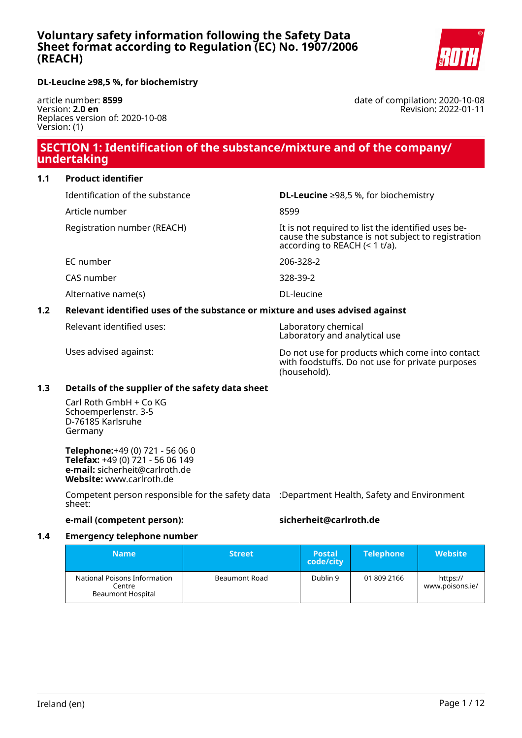**DL-Leucine ≥98,5 %, for biochemistry**

article number: **8599** Version: **2.0 en** Replaces version of: 2020-10-08 Version: (1)

# **SECTION 1: Identification of the substance/mixture and of the company/ undertaking**

### **1.1 Product identifier**

Identification of the substance **DL-Leucine** ≥98,5 %, for biochemistry Article number 8599 Registration number (REACH) The state of the identified uses because the substance is not subject to registration according to REACH (< 1 t/a). EC number 206-328-2 CAS number 328-39-2 Alternative name(s) and the contraction of the DL-leucine

# **1.2 Relevant identified uses of the substance or mixture and uses advised against**

Relevant identified uses: Laboratory chemical

Laboratory and analytical use

Uses advised against: Do not use for products which come into contact with foodstuffs. Do not use for private purposes (household).

#### **1.3 Details of the supplier of the safety data sheet**

Carl Roth GmbH + Co KG Schoemperlenstr. 3-5 D-76185 Karlsruhe Germany

**Telephone:**+49 (0) 721 - 56 06 0 **Telefax:** +49 (0) 721 - 56 06 149 **e-mail:** sicherheit@carlroth.de **Website:** www.carlroth.de

Competent person responsible for the safety data :Department Health, Safety and Environment sheet:

### **e-mail (competent person): sicherheit@carlroth.de**

#### **1.4 Emergency telephone number**

| <b>Name</b>                                                        | <b>Street</b> | <b>Postal</b><br>code/city | <b>Telephone</b> | <b>Website</b>              |
|--------------------------------------------------------------------|---------------|----------------------------|------------------|-----------------------------|
| National Poisons Information<br>Centre<br><b>Beaumont Hospital</b> | Beaumont Road | Dublin 9                   | 01 809 2166      | https://<br>www.poisons.ie/ |

date of compilation: 2020-10-08 Revision: 2022-01-11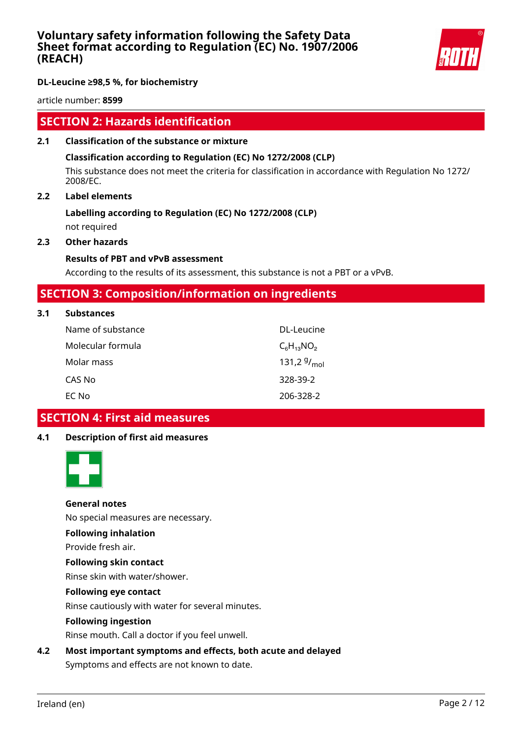

### **DL-Leucine ≥98,5 %, for biochemistry**

article number: **8599**

# **SECTION 2: Hazards identification**

### **2.1 Classification of the substance or mixture**

### **Classification according to Regulation (EC) No 1272/2008 (CLP)**

This substance does not meet the criteria for classification in accordance with Regulation No 1272/ 2008/EC.

### **2.2 Label elements**

# **Labelling according to Regulation (EC) No 1272/2008 (CLP)**

not required

### **2.3 Other hazards**

### **Results of PBT and vPvB assessment**

According to the results of its assessment, this substance is not a PBT or a vPvB.

# **SECTION 3: Composition/information on ingredients**

| 3.1 | <b>Substances</b> |                  |
|-----|-------------------|------------------|
|     | Name of substance | DL-Leucine       |
|     | Molecular formula | $C_6H_{13}NO_2$  |
|     | Molar mass        | 131,2 $9/_{mol}$ |
|     | CAS No            | 328-39-2         |

#### EC No 206-328-2

# **SECTION 4: First aid measures**

#### **4.1 Description of first aid measures**



#### **General notes**

No special measures are necessary.

#### **Following inhalation**

Provide fresh air.

### **Following skin contact**

Rinse skin with water/shower.

#### **Following eye contact**

Rinse cautiously with water for several minutes.

#### **Following ingestion**

Rinse mouth. Call a doctor if you feel unwell.

### **4.2 Most important symptoms and effects, both acute and delayed**

Symptoms and effects are not known to date.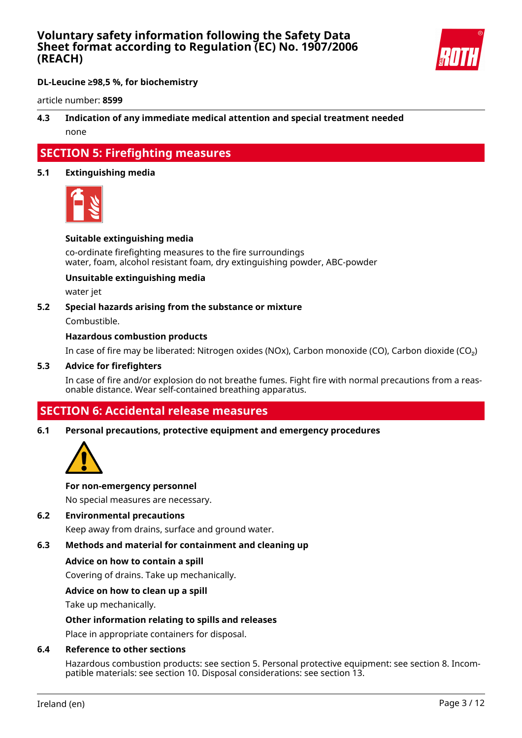

# **DL-Leucine ≥98,5 %, for biochemistry**

article number: **8599**

# **4.3 Indication of any immediate medical attention and special treatment needed** none

# **SECTION 5: Firefighting measures**

### **5.1 Extinguishing media**



#### **Suitable extinguishing media**

co-ordinate firefighting measures to the fire surroundings water, foam, alcohol resistant foam, dry extinguishing powder, ABC-powder

#### **Unsuitable extinguishing media**

water jet

#### **5.2 Special hazards arising from the substance or mixture**

Combustible.

#### **Hazardous combustion products**

In case of fire may be liberated: Nitrogen oxides (NOx), Carbon monoxide (CO), Carbon dioxide (CO₂)

#### **5.3 Advice for firefighters**

In case of fire and/or explosion do not breathe fumes. Fight fire with normal precautions from a reasonable distance. Wear self-contained breathing apparatus.

# **SECTION 6: Accidental release measures**

#### **6.1 Personal precautions, protective equipment and emergency procedures**



#### **For non-emergency personnel**

No special measures are necessary.

#### **6.2 Environmental precautions**

Keep away from drains, surface and ground water.

# **6.3 Methods and material for containment and cleaning up**

#### **Advice on how to contain a spill**

Covering of drains. Take up mechanically.

#### **Advice on how to clean up a spill**

Take up mechanically.

#### **Other information relating to spills and releases**

Place in appropriate containers for disposal.

#### **6.4 Reference to other sections**

Hazardous combustion products: see section 5. Personal protective equipment: see section 8. Incompatible materials: see section 10. Disposal considerations: see section 13.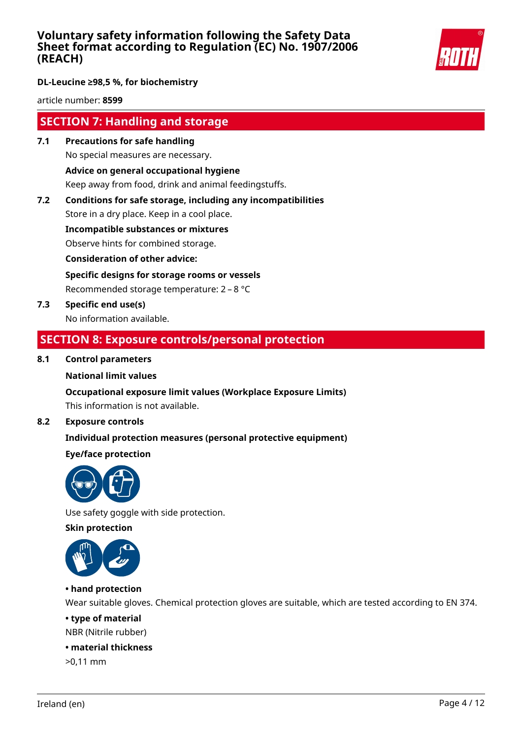

# **DL-Leucine ≥98,5 %, for biochemistry**

article number: **8599**

# **SECTION 7: Handling and storage**

- **7.1 Precautions for safe handling** No special measures are necessary. **Advice on general occupational hygiene** Keep away from food, drink and animal feedingstuffs.
- **7.2 Conditions for safe storage, including any incompatibilities**

Store in a dry place. Keep in a cool place.

**Incompatible substances or mixtures**

Observe hints for combined storage.

**Consideration of other advice:**

**Specific designs for storage rooms or vessels**

Recommended storage temperature: 2 – 8 °C

**7.3 Specific end use(s)** No information available.

# **SECTION 8: Exposure controls/personal protection**

### **8.1 Control parameters**

#### **National limit values**

#### **Occupational exposure limit values (Workplace Exposure Limits)**

This information is not available.

### **8.2 Exposure controls**

# **Individual protection measures (personal protective equipment)**

# **Eye/face protection**



Use safety goggle with side protection.

**Skin protection**



# **• hand protection**

Wear suitable gloves. Chemical protection gloves are suitable, which are tested according to EN 374.

### **• type of material**

NBR (Nitrile rubber)

### **• material thickness**

>0,11 mm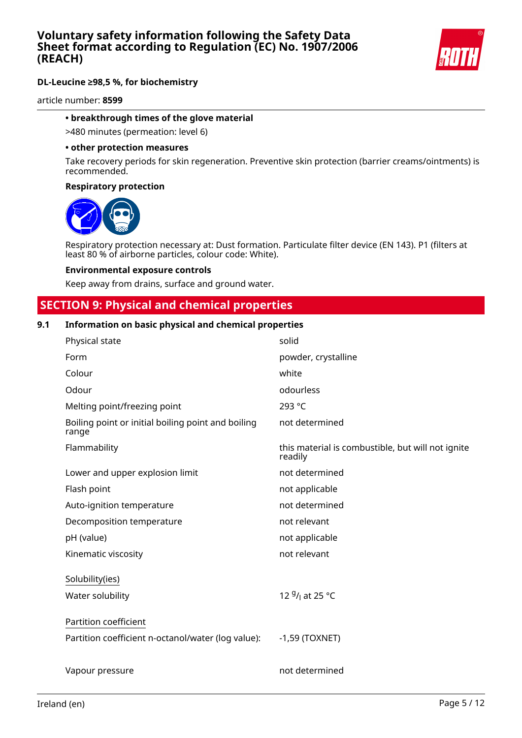

article number: **8599**

### **• breakthrough times of the glove material**

>480 minutes (permeation: level 6)

#### **• other protection measures**

Take recovery periods for skin regeneration. Preventive skin protection (barrier creams/ointments) is recommended.

#### **Respiratory protection**



Respiratory protection necessary at: Dust formation. Particulate filter device (EN 143). P1 (filters at least 80 % of airborne particles, colour code: White).

#### **Environmental exposure controls**

Keep away from drains, surface and ground water.

# **SECTION 9: Physical and chemical properties**

### **9.1 Information on basic physical and chemical properties**

| Physical state                                              | solid                                                        |
|-------------------------------------------------------------|--------------------------------------------------------------|
| Form                                                        | powder, crystalline                                          |
| Colour                                                      | white                                                        |
| Odour                                                       | odourless                                                    |
| Melting point/freezing point                                | 293 °C                                                       |
| Boiling point or initial boiling point and boiling<br>range | not determined                                               |
| Flammability                                                | this material is combustible, but will not ignite<br>readily |
| Lower and upper explosion limit                             | not determined                                               |
| Flash point                                                 | not applicable                                               |
| Auto-ignition temperature                                   | not determined                                               |
| Decomposition temperature                                   | not relevant                                                 |
| pH (value)                                                  | not applicable                                               |
| Kinematic viscosity                                         | not relevant                                                 |
| Solubility(ies)                                             |                                                              |
| Water solubility                                            | 12 <sup>g</sup> / <sub>l</sub> at 25 °C                      |
| Partition coefficient                                       |                                                              |
| Partition coefficient n-octanol/water (log value):          | $-1,59$ (TOXNET)                                             |
| Vapour pressure                                             | not determined                                               |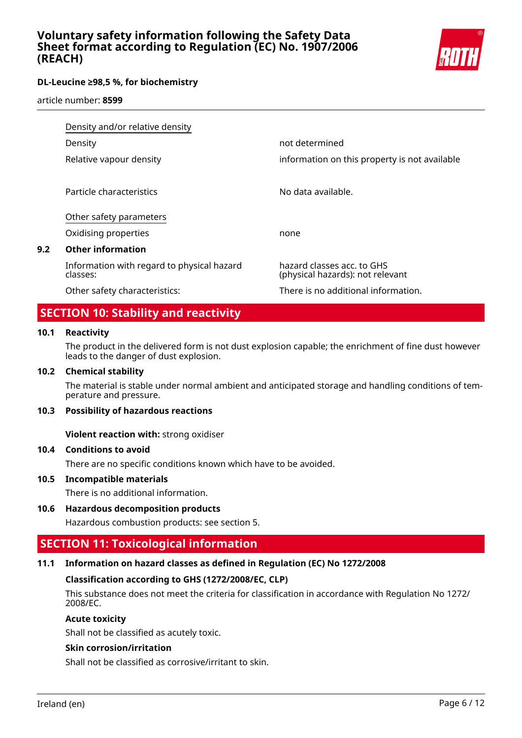

article number: **8599**

|     | Density and/or relative density                        |                                                                |
|-----|--------------------------------------------------------|----------------------------------------------------------------|
|     | Density                                                | not determined                                                 |
|     | Relative vapour density                                | information on this property is not available                  |
|     | Particle characteristics                               | No data available.                                             |
|     | Other safety parameters                                |                                                                |
|     | Oxidising properties                                   | none                                                           |
| 9.2 | <b>Other information</b>                               |                                                                |
|     | Information with regard to physical hazard<br>classes: | hazard classes acc. to GHS<br>(physical hazards): not relevant |
|     | Other safety characteristics:                          | There is no additional information.                            |

# **SECTION 10: Stability and reactivity**

#### **10.1 Reactivity**

The product in the delivered form is not dust explosion capable; the enrichment of fine dust however leads to the danger of dust explosion.

#### **10.2 Chemical stability**

The material is stable under normal ambient and anticipated storage and handling conditions of temperature and pressure.

#### **10.3 Possibility of hazardous reactions**

**Violent reaction with:** strong oxidiser

#### **10.4 Conditions to avoid**

There are no specific conditions known which have to be avoided.

#### **10.5 Incompatible materials**

There is no additional information.

#### **10.6 Hazardous decomposition products**

Hazardous combustion products: see section 5.

# **SECTION 11: Toxicological information**

#### **11.1 Information on hazard classes as defined in Regulation (EC) No 1272/2008**

#### **Classification according to GHS (1272/2008/EC, CLP)**

This substance does not meet the criteria for classification in accordance with Regulation No 1272/ 2008/EC.

### **Acute toxicity**

Shall not be classified as acutely toxic.

### **Skin corrosion/irritation**

Shall not be classified as corrosive/irritant to skin.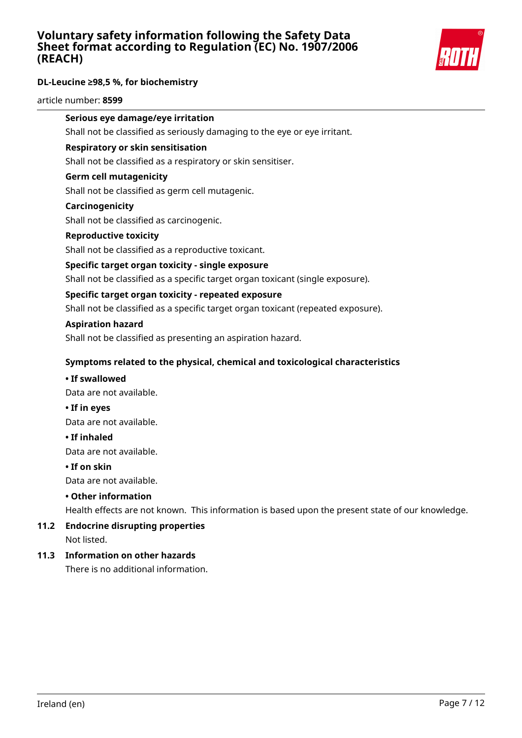

article number: **8599**

# **Serious eye damage/eye irritation**

Shall not be classified as seriously damaging to the eye or eye irritant.

#### **Respiratory or skin sensitisation**

Shall not be classified as a respiratory or skin sensitiser.

#### **Germ cell mutagenicity**

Shall not be classified as germ cell mutagenic.

#### **Carcinogenicity**

Shall not be classified as carcinogenic.

#### **Reproductive toxicity**

Shall not be classified as a reproductive toxicant.

#### **Specific target organ toxicity - single exposure**

Shall not be classified as a specific target organ toxicant (single exposure).

#### **Specific target organ toxicity - repeated exposure**

Shall not be classified as a specific target organ toxicant (repeated exposure).

#### **Aspiration hazard**

Shall not be classified as presenting an aspiration hazard.

#### **Symptoms related to the physical, chemical and toxicological characteristics**

#### **• If swallowed**

Data are not available.

**• If in eyes**

Data are not available.

#### **• If inhaled**

Data are not available.

#### **• If on skin**

Data are not available.

#### **• Other information**

Health effects are not known. This information is based upon the present state of our knowledge.

#### **11.2 Endocrine disrupting properties** Not listed.

### **11.3 Information on other hazards**

There is no additional information.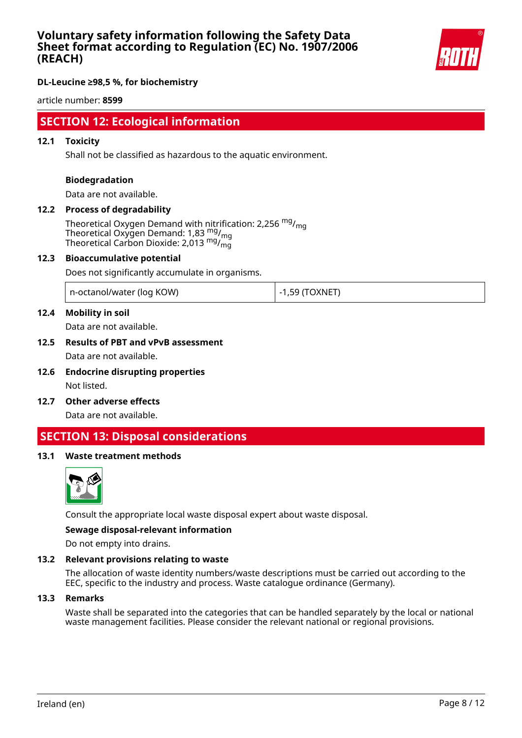

### **DL-Leucine ≥98,5 %, for biochemistry**

article number: **8599**

# **SECTION 12: Ecological information**

#### **12.1 Toxicity**

Shall not be classified as hazardous to the aquatic environment.

#### **Biodegradation**

Data are not available.

# **12.2 Process of degradability**

Theoretical Oxygen Demand with nitrification: 2,256  $mg/m<sub>on</sub>$ Theoretical Oxygen Demand: 1,83 mg/<sub>mg</sub> Theoretical Carbon Dioxide: 2,013  $mg/m<sub>g</sub>$ 

#### **12.3 Bioaccumulative potential**

Does not significantly accumulate in organisms.

| n-octanol/water (log KOW) | -1,59 (TOXNET<br>$-1$ |
|---------------------------|-----------------------|
|---------------------------|-----------------------|

### **12.4 Mobility in soil**

Data are not available.

# **12.5 Results of PBT and vPvB assessment** Data are not available.

- **12.6 Endocrine disrupting properties** Not listed.
- **12.7 Other adverse effects**

Data are not available.

# **SECTION 13: Disposal considerations**

#### **13.1 Waste treatment methods**



Consult the appropriate local waste disposal expert about waste disposal.

#### **Sewage disposal-relevant information**

Do not empty into drains.

#### **13.2 Relevant provisions relating to waste**

The allocation of waste identity numbers/waste descriptions must be carried out according to the EEC, specific to the industry and process. Waste catalogue ordinance (Germany).

#### **13.3 Remarks**

Waste shall be separated into the categories that can be handled separately by the local or national waste management facilities. Please consider the relevant national or regional provisions.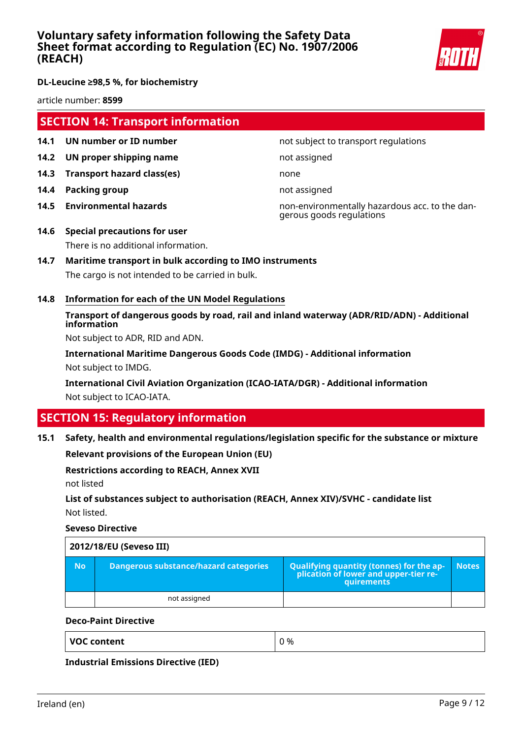

article number: **8599**

# **SECTION 14: Transport information**

- **14.1 UN number or ID number not subject to transport regulations**
- **14.2 UN proper shipping name** not assigned
- **14.3 Transport hazard class(es)** none
- **14.4 Packing group not assigned**
- 

**14.5 Environmental hazards** non-environmentally hazardous acc. to the dangerous goods regulations

- **14.6 Special precautions for user** There is no additional information.
- **14.7 Maritime transport in bulk according to IMO instruments** The cargo is not intended to be carried in bulk.
- **14.8 Information for each of the UN Model Regulations**

# **Transport of dangerous goods by road, rail and inland waterway (ADR/RID/ADN) - Additional information**

Not subject to ADR, RID and ADN.

**International Maritime Dangerous Goods Code (IMDG) - Additional information** Not subject to IMDG.

**International Civil Aviation Organization (ICAO-IATA/DGR) - Additional information** Not subject to ICAO-IATA.

# **SECTION 15: Regulatory information**

#### **15.1 Safety, health and environmental regulations/legislation specific for the substance or mixture**

**Relevant provisions of the European Union (EU)**

#### **Restrictions according to REACH, Annex XVII**

not listed

# **List of substances subject to authorisation (REACH, Annex XIV)/SVHC - candidate list** Not listed.

**Seveso Directive**

|           | 2012/18/EU (Seveso III)               |                                                                                            |              |  |  |
|-----------|---------------------------------------|--------------------------------------------------------------------------------------------|--------------|--|--|
| <b>No</b> | Dangerous substance/hazard categories | Qualifying quantity (tonnes) for the application of lower and upper-tier re-<br>quirements | <b>Notes</b> |  |  |
|           | not assigned                          |                                                                                            |              |  |  |

#### **Deco-Paint Directive**

**Industrial Emissions Directive (IED)**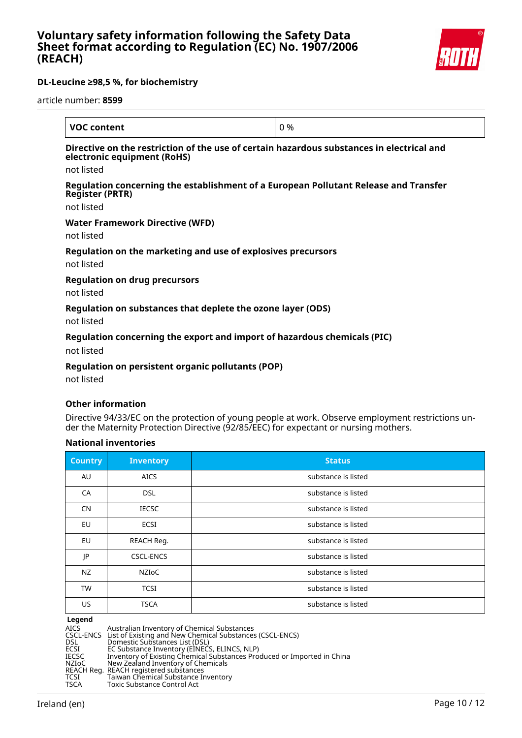

article number: **8599**

| <b>VOC content</b>                                                                                                       | 0 % |
|--------------------------------------------------------------------------------------------------------------------------|-----|
| Directive on the restriction of the use of certain hazardous substances in electrical and<br>electronic equipment (RoHS) |     |
| not listed                                                                                                               |     |
| Regulation concerning the establishment of a European Pollutant Release and Transfer<br><b>Register (PRTR)</b>           |     |
| not listed                                                                                                               |     |
| <b>Water Framework Directive (WFD)</b>                                                                                   |     |
| not listed                                                                                                               |     |
| Regulation on the marketing and use of explosives precursors<br>not listed                                               |     |
| <b>Regulation on drug precursors</b>                                                                                     |     |
| not listed                                                                                                               |     |
| Regulation on substances that deplete the ozone layer (ODS)                                                              |     |
| not lictod                                                                                                               |     |

not listed

#### **Regulation concerning the export and import of hazardous chemicals (PIC)**

not listed

### **Regulation on persistent organic pollutants (POP)**

not listed

#### **Other information**

Directive 94/33/EC on the protection of young people at work. Observe employment restrictions under the Maternity Protection Directive (92/85/EEC) for expectant or nursing mothers.

#### **National inventories**

| <b>Country</b> | <b>Inventory</b> | Status              |
|----------------|------------------|---------------------|
| AU             | <b>AICS</b>      | substance is listed |
| CA             | <b>DSL</b>       | substance is listed |
| <b>CN</b>      | <b>IECSC</b>     | substance is listed |
| EU             | <b>ECSI</b>      | substance is listed |
| EU             | REACH Reg.       | substance is listed |
| JP             | <b>CSCL-ENCS</b> | substance is listed |
| NZ             | NZIoC            | substance is listed |
| <b>TW</b>      | <b>TCSI</b>      | substance is listed |
| US             | <b>TSCA</b>      | substance is listed |

AICS Australian Inventory of Chemical Substances

**Legend<br>AICS<br>CSCL-ENCS<br>DSL<br>ECSI** CSCL-ENCS List of Existing and New Chemical Substances (CSCL-ENCS) DSL Domestic Substances List (DSL)

ECSI EC Substance Inventory (EINECS, ELINCS, NLP)

IECSC Inventory of Existing Chemical Substances Produced or Imported in China IECSC Inventory of Existing Chemical Substitution NZIoC New Zealand Inventory of Chemicals

REACH Reg. REACH registered substances

TCSI Taiwan Chemical Substance Inventory

TSCA Toxic Substance Control Act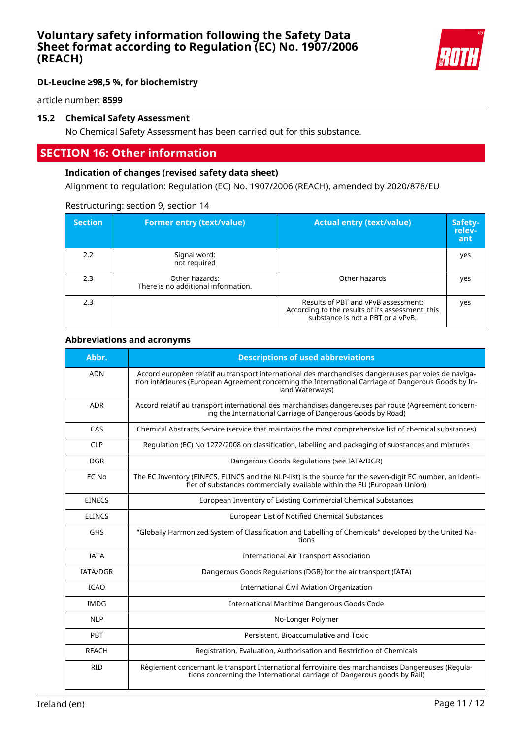

# **DL-Leucine ≥98,5 %, for biochemistry**

article number: **8599**

# **15.2 Chemical Safety Assessment**

No Chemical Safety Assessment has been carried out for this substance.

# **SECTION 16: Other information**

#### **Indication of changes (revised safety data sheet)**

Alignment to regulation: Regulation (EC) No. 1907/2006 (REACH), amended by 2020/878/EU

#### Restructuring: section 9, section 14

| <b>Section</b> | <b>Former entry (text/value)</b>                      | <b>Actual entry (text/value)</b>                                                                                             | Safety-<br>relev-<br>ant |
|----------------|-------------------------------------------------------|------------------------------------------------------------------------------------------------------------------------------|--------------------------|
| 2.2            | Signal word:<br>not required                          |                                                                                                                              | yes                      |
| 2.3            | Other hazards:<br>There is no additional information. | Other hazards                                                                                                                | yes                      |
| 2.3            |                                                       | Results of PBT and vPvB assessment:<br>According to the results of its assessment, this<br>substance is not a PBT or a vPvB. | yes                      |

#### **Abbreviations and acronyms**

| Abbr.           | <b>Descriptions of used abbreviations</b>                                                                                                                                                                                       |
|-----------------|---------------------------------------------------------------------------------------------------------------------------------------------------------------------------------------------------------------------------------|
| <b>ADN</b>      | Accord européen relatif au transport international des marchandises dangereuses par voies de naviga-<br>tion intérieures (European Agreement concerning the International Carriage of Dangerous Goods by In-<br>land Waterways) |
| <b>ADR</b>      | Accord relatif au transport international des marchandises dangereuses par route (Agreement concern-<br>ing the International Carriage of Dangerous Goods by Road)                                                              |
| CAS             | Chemical Abstracts Service (service that maintains the most comprehensive list of chemical substances)                                                                                                                          |
| <b>CLP</b>      | Regulation (EC) No 1272/2008 on classification, labelling and packaging of substances and mixtures                                                                                                                              |
| <b>DGR</b>      | Dangerous Goods Regulations (see IATA/DGR)                                                                                                                                                                                      |
| EC No           | The EC Inventory (EINECS, ELINCS and the NLP-list) is the source for the seven-digit EC number, an identi-<br>fier of substances commercially available within the EU (European Union)                                          |
| <b>EINECS</b>   | European Inventory of Existing Commercial Chemical Substances                                                                                                                                                                   |
| <b>ELINCS</b>   | European List of Notified Chemical Substances                                                                                                                                                                                   |
| <b>GHS</b>      | "Globally Harmonized System of Classification and Labelling of Chemicals" developed by the United Na-<br>tions                                                                                                                  |
| <b>IATA</b>     | <b>International Air Transport Association</b>                                                                                                                                                                                  |
| <b>IATA/DGR</b> | Dangerous Goods Regulations (DGR) for the air transport (IATA)                                                                                                                                                                  |
| <b>ICAO</b>     | <b>International Civil Aviation Organization</b>                                                                                                                                                                                |
| <b>IMDG</b>     | International Maritime Dangerous Goods Code                                                                                                                                                                                     |
| <b>NLP</b>      | No-Longer Polymer                                                                                                                                                                                                               |
| PBT             | Persistent, Bioaccumulative and Toxic                                                                                                                                                                                           |
| <b>REACH</b>    | Registration, Evaluation, Authorisation and Restriction of Chemicals                                                                                                                                                            |
| <b>RID</b>      | Règlement concernant le transport International ferroviaire des marchandises Dangereuses (Regula-<br>tions concerning the International carriage of Dangerous goods by Rail)                                                    |